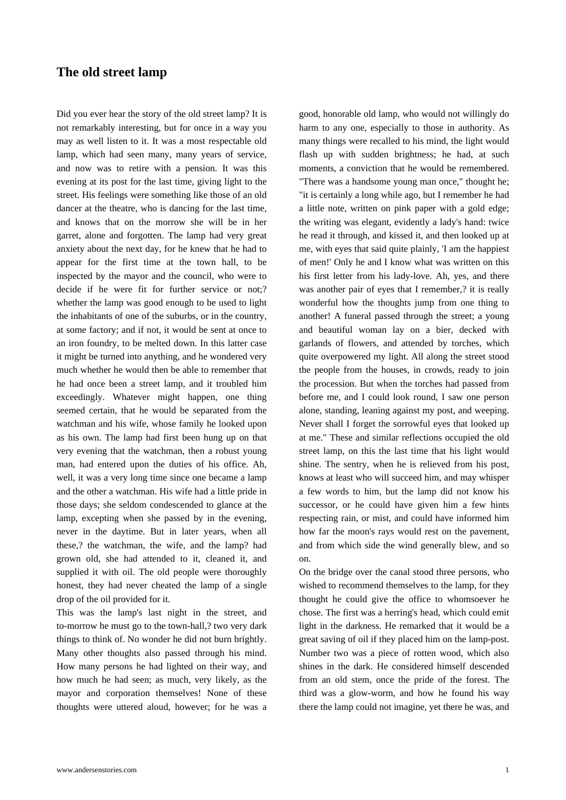## **The old street lamp**

[Did you ever hear the story o](https://www.andersenstories.com/en/andersen_fairy-tales/the_old_street_lamp)f the old street lamp? It is not remarkably interesting, but for once in a way you may as well listen to it. It was a most respectable old lamp, which had seen many, many years of service, and now was to retire with a pension. It was this evening at its post for the last time, giving light to the street. His feelings were something like those of an old dancer at the theatre, who is dancing for the last time, and knows that on the morrow she will be in her garret, alone and forgotten. The lamp had very great anxiety about the next day, for he knew that he had to appear for the first time at the town hall, to be inspected by the mayor and the council, who were to decide if he were fit for further service or not;? whether the lamp was good enough to be used to light the inhabitants of one of the suburbs, or in the country, at some factory; and if not, it would be sent at once to an iron foundry, to be melted down. In this latter case it might be turned into anything, and he wondered very much whether he would then be able to remember that he had once been a street lamp, and it troubled him exceedingly. Whatever might happen, one thing seemed certain, that he would be separated from the watchman and his wife, whose family he looked upon as his own. The lamp had first been hung up on that very evening that the watchman, then a robust young man, had entered upon the duties of his office. Ah, well, it was a very long time since one became a lamp and the other a watchman. His wife had a little pride in those days; she seldom condescended to glance at the lamp, excepting when she passed by in the evening, never in the daytime. But in later years, when all these,? the watchman, the wife, and the lamp? had grown old, she had attended to it, cleaned it, and supplied it with oil. The old people were thoroughly honest, they had never cheated the lamp of a single drop of the oil provided for it.

This was the lamp's last night in the street, and to-morrow he must go to the town-hall,? two very dark things to think of. No wonder he did not burn brightly. Many other thoughts also passed through his mind. How many persons he had lighted on their way, and how much he had seen; as much, very likely, as the mayor and corporation themselves! None of these thoughts were uttered aloud, however; for he was a good, honorable old lamp, who would not willingly do harm to any one, especially to those in authority. As many things were recalled to his mind, the light would flash up with sudden brightness; he had, at such moments, a conviction that he would be remembered. "There was a handsome young man once," thought he; "it is certainly a long while ago, but I remember he had a little note, written on pink paper with a gold edge; the writing was elegant, evidently a lady's hand: twice he read it through, and kissed it, and then looked up at me, with eyes that said quite plainly, 'I am the happiest of men!' Only he and I know what was written on this his first letter from his lady-love. Ah, yes, and there was another pair of eyes that I remember,? it is really wonderful how the thoughts jump from one thing to another! A funeral passed through the street; a young and beautiful woman lay on a bier, decked with garlands of flowers, and attended by torches, which quite overpowered my light. All along the street stood the people from the houses, in crowds, ready to join the procession. But when the torches had passed from before me, and I could look round, I saw one person alone, standing, leaning against my post, and weeping. Never shall I forget the sorrowful eyes that looked up at me." These and similar reflections occupied the old street lamp, on this the last time that his light would shine. The sentry, when he is relieved from his post, knows at least who will succeed him, and may whisper a few words to him, but the lamp did not know his successor, or he could have given him a few hints respecting rain, or mist, and could have informed him how far the moon's rays would rest on the pavement, and from which side the wind generally blew, and so on.

On the bridge over the canal stood three persons, who wished to recommend themselves to the lamp, for they thought he could give the office to whomsoever he chose. The first was a herring's head, which could emit light in the darkness. He remarked that it would be a great saving of oil if they placed him on the lamp-post. Number two was a piece of rotten wood, which also shines in the dark. He considered himself descended from an old stem, once the pride of the forest. The third was a glow-worm, and how he found his way there the lamp could not imagine, yet there he was, and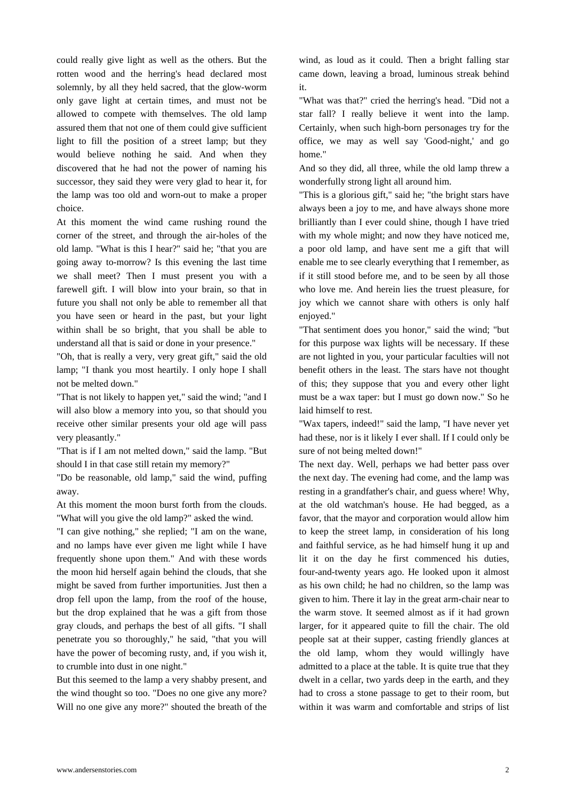could really give light as well as the others. But the rotten wood and the herring's head declared most solemnly, by all they held sacred, that the glow-worm only gave light at certain times, and must not be allowed to compete with themselves. The old lamp assured them that not one of them could give sufficient light to fill the position of a street lamp; but they would believe nothing he said. And when they discovered that he had not the power of naming his successor, they said they were very glad to hear it, for the lamp was too old and worn-out to make a proper choice.

At this moment the wind came rushing round the corner of the street, and through the air-holes of the old lamp. "What is this I hear?" said he; "that you are going away to-morrow? Is this evening the last time we shall meet? Then I must present you with a farewell gift. I will blow into your brain, so that in future you shall not only be able to remember all that you have seen or heard in the past, but your light within shall be so bright, that you shall be able to understand all that is said or done in your presence."

"Oh, that is really a very, very great gift," said the old lamp; "I thank you most heartily. I only hope I shall not be melted down."

"That is not likely to happen yet," said the wind; "and I will also blow a memory into you, so that should you receive other similar presents your old age will pass very pleasantly."

"That is if I am not melted down," said the lamp. "But should I in that case still retain my memory?"

"Do be reasonable, old lamp," said the wind, puffing away.

At this moment the moon burst forth from the clouds. "What will you give the old lamp?" asked the wind.

"I can give nothing," she replied; "I am on the wane, and no lamps have ever given me light while I have frequently shone upon them." And with these words the moon hid herself again behind the clouds, that she might be saved from further importunities. Just then a drop fell upon the lamp, from the roof of the house, but the drop explained that he was a gift from those gray clouds, and perhaps the best of all gifts. "I shall penetrate you so thoroughly," he said, "that you will have the power of becoming rusty, and, if you wish it, to crumble into dust in one night."

But this seemed to the lamp a very shabby present, and the wind thought so too. "Does no one give any more? Will no one give any more?" shouted the breath of the wind, as loud as it could. Then a bright falling star came down, leaving a broad, luminous streak behind it.

"What was that?" cried the herring's head. "Did not a star fall? I really believe it went into the lamp. Certainly, when such high-born personages try for the office, we may as well say 'Good-night,' and go home."

And so they did, all three, while the old lamp threw a wonderfully strong light all around him.

"This is a glorious gift," said he; "the bright stars have always been a joy to me, and have always shone more brilliantly than I ever could shine, though I have tried with my whole might; and now they have noticed me, a poor old lamp, and have sent me a gift that will enable me to see clearly everything that I remember, as if it still stood before me, and to be seen by all those who love me. And herein lies the truest pleasure, for joy which we cannot share with others is only half enjoyed."

"That sentiment does you honor," said the wind; "but for this purpose wax lights will be necessary. If these are not lighted in you, your particular faculties will not benefit others in the least. The stars have not thought of this; they suppose that you and every other light must be a wax taper: but I must go down now." So he laid himself to rest.

"Wax tapers, indeed!" said the lamp, "I have never yet had these, nor is it likely I ever shall. If I could only be sure of not being melted down!"

The next day. Well, perhaps we had better pass over the next day. The evening had come, and the lamp was resting in a grandfather's chair, and guess where! Why, at the old watchman's house. He had begged, as a favor, that the mayor and corporation would allow him to keep the street lamp, in consideration of his long and faithful service, as he had himself hung it up and lit it on the day he first commenced his duties, four-and-twenty years ago. He looked upon it almost as his own child; he had no children, so the lamp was given to him. There it lay in the great arm-chair near to the warm stove. It seemed almost as if it had grown larger, for it appeared quite to fill the chair. The old people sat at their supper, casting friendly glances at the old lamp, whom they would willingly have admitted to a place at the table. It is quite true that they dwelt in a cellar, two yards deep in the earth, and they had to cross a stone passage to get to their room, but within it was warm and comfortable and strips of list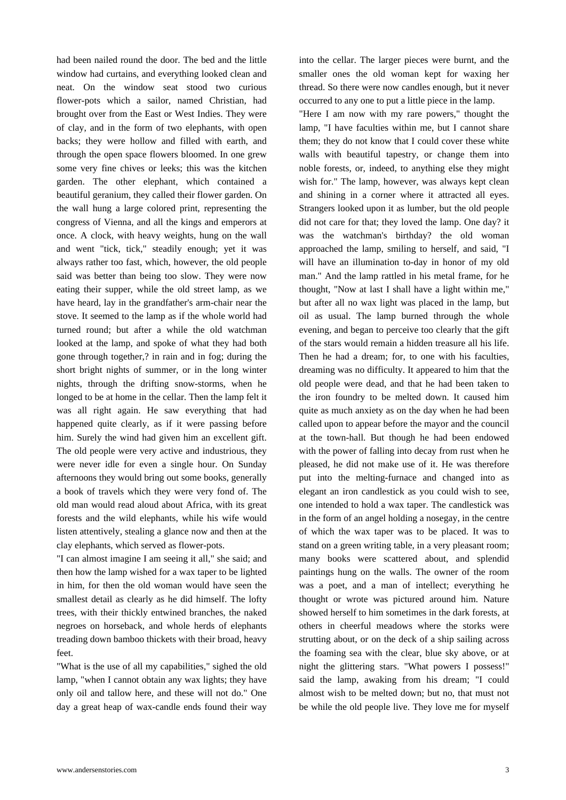had been nailed round the door. The bed and the little window had curtains, and everything looked clean and neat. On the window seat stood two curious flower-pots which a sailor, named Christian, had brought over from the East or West Indies. They were of clay, and in the form of two elephants, with open backs; they were hollow and filled with earth, and through the open space flowers bloomed. In one grew some very fine chives or leeks; this was the kitchen garden. The other elephant, which contained a beautiful geranium, they called their flower garden. On the wall hung a large colored print, representing the congress of Vienna, and all the kings and emperors at once. A clock, with heavy weights, hung on the wall and went "tick, tick," steadily enough; yet it was always rather too fast, which, however, the old people said was better than being too slow. They were now eating their supper, while the old street lamp, as we have heard, lay in the grandfather's arm-chair near the stove. It seemed to the lamp as if the whole world had turned round; but after a while the old watchman looked at the lamp, and spoke of what they had both gone through together,? in rain and in fog; during the short bright nights of summer, or in the long winter nights, through the drifting snow-storms, when he longed to be at home in the cellar. Then the lamp felt it was all right again. He saw everything that had happened quite clearly, as if it were passing before him. Surely the wind had given him an excellent gift. The old people were very active and industrious, they were never idle for even a single hour. On Sunday afternoons they would bring out some books, generally a book of travels which they were very fond of. The old man would read aloud about Africa, with its great forests and the wild elephants, while his wife would listen attentively, stealing a glance now and then at the clay elephants, which served as flower-pots.

"I can almost imagine I am seeing it all," she said; and then how the lamp wished for a wax taper to be lighted in him, for then the old woman would have seen the smallest detail as clearly as he did himself. The lofty trees, with their thickly entwined branches, the naked negroes on horseback, and whole herds of elephants treading down bamboo thickets with their broad, heavy feet.

"What is the use of all my capabilities," sighed the old lamp, "when I cannot obtain any wax lights; they have only oil and tallow here, and these will not do." One day a great heap of wax-candle ends found their way into the cellar. The larger pieces were burnt, and the smaller ones the old woman kept for waxing her thread. So there were now candles enough, but it never occurred to any one to put a little piece in the lamp.

"Here I am now with my rare powers," thought the lamp, "I have faculties within me, but I cannot share them; they do not know that I could cover these white walls with beautiful tapestry, or change them into noble forests, or, indeed, to anything else they might wish for." The lamp, however, was always kept clean and shining in a corner where it attracted all eyes. Strangers looked upon it as lumber, but the old people did not care for that; they loved the lamp. One day? it was the watchman's birthday? the old woman approached the lamp, smiling to herself, and said, "I will have an illumination to-day in honor of my old man." And the lamp rattled in his metal frame, for he thought, "Now at last I shall have a light within me," but after all no wax light was placed in the lamp, but oil as usual. The lamp burned through the whole evening, and began to perceive too clearly that the gift of the stars would remain a hidden treasure all his life. Then he had a dream; for, to one with his faculties, dreaming was no difficulty. It appeared to him that the old people were dead, and that he had been taken to the iron foundry to be melted down. It caused him quite as much anxiety as on the day when he had been called upon to appear before the mayor and the council at the town-hall. But though he had been endowed with the power of falling into decay from rust when he pleased, he did not make use of it. He was therefore put into the melting-furnace and changed into as elegant an iron candlestick as you could wish to see, one intended to hold a wax taper. The candlestick was in the form of an angel holding a nosegay, in the centre of which the wax taper was to be placed. It was to stand on a green writing table, in a very pleasant room; many books were scattered about, and splendid paintings hung on the walls. The owner of the room was a poet, and a man of intellect; everything he thought or wrote was pictured around him. Nature showed herself to him sometimes in the dark forests, at others in cheerful meadows where the storks were strutting about, or on the deck of a ship sailing across the foaming sea with the clear, blue sky above, or at night the glittering stars. "What powers I possess!" said the lamp, awaking from his dream; "I could almost wish to be melted down; but no, that must not be while the old people live. They love me for myself